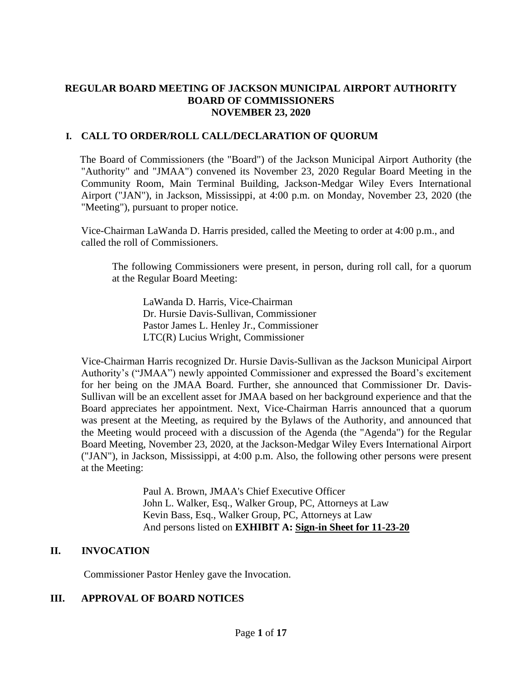### **REGULAR BOARD MEETING OF JACKSON MUNICIPAL AIRPORT AUTHORITY BOARD OF COMMISSIONERS NOVEMBER 23, 2020**

### **I. CALL TO ORDER/ROLL CALL/DECLARATION OF QUORUM**

The Board of Commissioners (the "Board") of the Jackson Municipal Airport Authority (the "Authority" and "JMAA") convened its November 23, 2020 Regular Board Meeting in the Community Room, Main Terminal Building, Jackson-Medgar Wiley Evers International Airport ("JAN"), in Jackson, Mississippi, at 4:00 p.m. on Monday, November 23, 2020 (the "Meeting"), pursuant to proper notice.

Vice-Chairman LaWanda D. Harris presided, called the Meeting to order at 4:00 p.m., and called the roll of Commissioners.

The following Commissioners were present, in person, during roll call, for a quorum at the Regular Board Meeting:

LaWanda D. Harris, Vice-Chairman Dr. Hursie Davis-Sullivan, Commissioner Pastor James L. Henley Jr., Commissioner LTC(R) Lucius Wright, Commissioner

Vice-Chairman Harris recognized Dr. Hursie Davis-Sullivan as the Jackson Municipal Airport Authority's ("JMAA") newly appointed Commissioner and expressed the Board's excitement for her being on the JMAA Board. Further, she announced that Commissioner Dr. Davis-Sullivan will be an excellent asset for JMAA based on her background experience and that the Board appreciates her appointment. Next, Vice-Chairman Harris announced that a quorum was present at the Meeting, as required by the Bylaws of the Authority, and announced that the Meeting would proceed with a discussion of the Agenda (the "Agenda") for the Regular Board Meeting, November 23, 2020, at the Jackson-Medgar Wiley Evers International Airport ("JAN"), in Jackson, Mississippi, at 4:00 p.m. Also, the following other persons were present at the Meeting:

> Paul A. Brown, JMAA's Chief Executive Officer John L. Walker, Esq., Walker Group, PC, Attorneys at Law Kevin Bass, Esq., Walker Group, PC, Attorneys at Law And persons listed on **EXHIBIT A: Sign[-in](file:///C:/Users/kevin/AppData/Local/Microsoft/Windows/Temporary%20Internet%20Files/2019-01-28%20Board%20Meeting/2017-07-27%20Board%20Meeting/2016-09-22%20Board%20Meeting/Rescheduled%20Regular%20Board%20Meeting%20Sign%20in%20Sheet%20August%2029%202016.pdf) Sheet for 11-23-20**

### **II. INVOCATION**

Commissioner Pastor Henley gave the Invocation.

# **III. APPROVAL OF BOARD NOTICES**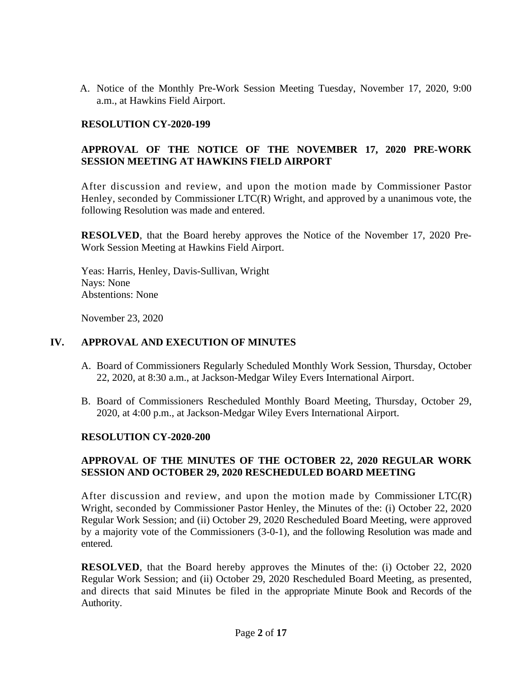A. Notice of the Monthly Pre-Work Session Meeting Tuesday, November 17, 2020, 9:00 a.m., at Hawkins Field Airport.

#### **RESOLUTION CY-2020-199**

## **APPROVAL OF THE NOTICE OF THE NOVEMBER 17, 2020 PRE-WORK SESSION MEETING AT HAWKINS FIELD AIRPORT**

After discussion and review, and upon the motion made by Commissioner Pastor Henley, seconded by Commissioner LTC(R) Wright, and approved by a unanimous vote, the following Resolution was made and entered.

**RESOLVED**, that the Board hereby approves the Notice of the November 17, 2020 Pre-Work Session Meeting at Hawkins Field Airport.

Yeas: Harris, Henley, Davis-Sullivan, Wright Nays: None Abstentions: None

November 23, 2020

### **IV. APPROVAL AND EXECUTION OF MINUTES**

- A. Board of Commissioners Regularly Scheduled Monthly Work Session, Thursday, October 22, 2020, at 8:30 a.m., at Jackson-Medgar Wiley Evers International Airport.
- B. Board of Commissioners Rescheduled Monthly Board Meeting, Thursday, October 29, 2020, at 4:00 p.m., at Jackson-Medgar Wiley Evers International Airport.

### **RESOLUTION CY-2020-200**

### **APPROVAL OF THE MINUTES OF THE OCTOBER 22, 2020 REGULAR WORK SESSION AND OCTOBER 29, 2020 RESCHEDULED BOARD MEETING**

After discussion and review, and upon the motion made by Commissioner  $\text{LTC}(R)$ Wright, seconded by Commissioner Pastor Henley, the Minutes of the: (i) October 22, 2020 Regular Work Session; and (ii) October 29, 2020 Rescheduled Board Meeting, were approved by a majority vote of the Commissioners (3-0-1), and the following Resolution was made and entered.

**RESOLVED**, that the Board hereby approves the Minutes of the: (i) October 22, 2020 Regular Work Session; and (ii) October 29, 2020 Rescheduled Board Meeting, as presented, and directs that said Minutes be filed in the appropriate Minute Book and Records of the Authority.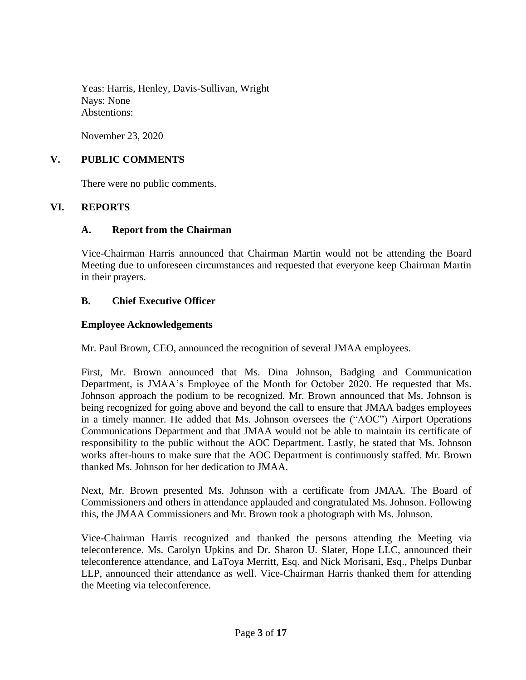Yeas: Harris, Henley, Davis-Sullivan, Wright Nays: None Abstentions:

November 23, 2020

### **V. PUBLIC COMMENTS**

There were no public comments.

### **VI. REPORTS**

### **A. Report from the Chairman**

Vice-Chairman Harris announced that Chairman Martin would not be attending the Board Meeting due to unforeseen circumstances and requested that everyone keep Chairman Martin in their prayers.

### **B. Chief Executive Officer**

#### **Employee Acknowledgements**

Mr. Paul Brown, CEO, announced the recognition of several JMAA employees.

First, Mr. Brown announced that Ms. Dina Johnson, Badging and Communication Department, is JMAA's Employee of the Month for October 2020. He requested that Ms. Johnson approach the podium to be recognized. Mr. Brown announced that Ms. Johnson is being recognized for going above and beyond the call to ensure that JMAA badges employees in a timely manner. He added that Ms. Johnson oversees the ("AOC") Airport Operations Communications Department and that JMAA would not be able to maintain its certificate of responsibility to the public without the AOC Department. Lastly, he stated that Ms. Johnson works after-hours to make sure that the AOC Department is continuously staffed. Mr. Brown thanked Ms. Johnson for her dedication to JMAA.

Next, Mr. Brown presented Ms. Johnson with a certificate from JMAA. The Board of Commissioners and others in attendance applauded and congratulated Ms. Johnson. Following this, the JMAA Commissioners and Mr. Brown took a photograph with Ms. Johnson.

Vice-Chairman Harris recognized and thanked the persons attending the Meeting via teleconference. Ms. Carolyn Upkins and Dr. Sharon U. Slater, Hope LLC, announced their teleconference attendance, and LaToya Merritt, Esq. and Nick Morisani, Esq., Phelps Dunbar LLP, announced their attendance as well. Vice-Chairman Harris thanked them for attending the Meeting via teleconference.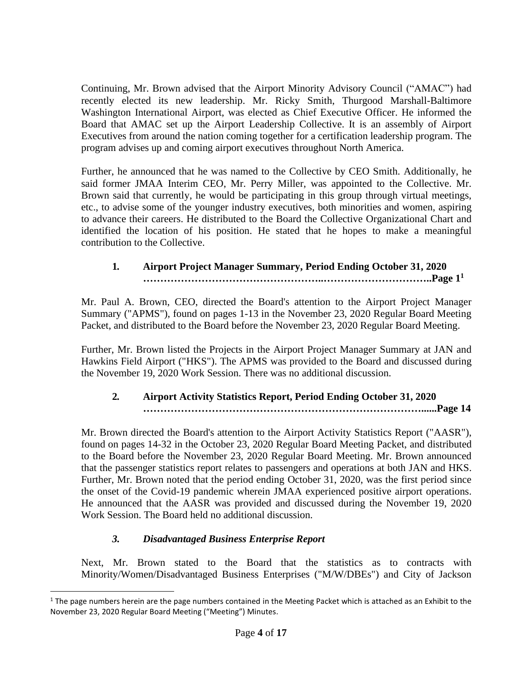Continuing, Mr. Brown advised that the Airport Minority Advisory Council ("AMAC") had recently elected its new leadership. Mr. Ricky Smith, Thurgood Marshall-Baltimore Washington International Airport, was elected as Chief Executive Officer. He informed the Board that AMAC set up the Airport Leadership Collective. It is an assembly of Airport Executives from around the nation coming together for a certification leadership program. The program advises up and coming airport executives throughout North America.

Further, he announced that he was named to the Collective by CEO Smith. Additionally, he said former JMAA Interim CEO, Mr. Perry Miller, was appointed to the Collective. Mr. Brown said that currently, he would be participating in this group through virtual meetings, etc., to advise some of the younger industry executives, both minorities and women, aspiring to advance their careers. He distributed to the Board the Collective Organizational Chart and identified the location of his position. He stated that he hopes to make a meaningful contribution to the Collective.

# **1***.* **Airport Project Manager Summary, Period Ending October 31, 2020 ……………………………………………..…………………………..Page 1 1**

Mr. Paul A. Brown, CEO, directed the Board's attention to the Airport Project Manager Summary ("APMS"), found on pages 1-13 in the November 23, 2020 Regular Board Meeting Packet, and distributed to the Board before the November 23, 2020 Regular Board Meeting.

Further, Mr. Brown listed the Projects in the Airport Project Manager Summary at JAN and Hawkins Field Airport ("HKS"). The APMS was provided to the Board and discussed during the November 19, 2020 Work Session. There was no additional discussion.

# **2***.* **Airport Activity Statistics Report, Period Ending October 31, 2020 ………………………………………………………………………......Page 14**

Mr. Brown directed the Board's attention to the Airport Activity Statistics Report ("AASR"), found on pages 14-32 in the October 23, 2020 Regular Board Meeting Packet, and distributed to the Board before the November 23, 2020 Regular Board Meeting. Mr. Brown announced that the passenger statistics report relates to passengers and operations at both JAN and HKS. Further, Mr. Brown noted that the period ending October 31, 2020, was the first period since the onset of the Covid-19 pandemic wherein JMAA experienced positive airport operations. He announced that the AASR was provided and discussed during the November 19, 2020 Work Session. The Board held no additional discussion.

# *3. Disadvantaged Business Enterprise Report*

Next, Mr. Brown stated to the Board that the statistics as to contracts with Minority/Women/Disadvantaged Business Enterprises ("M/W/DBEs") and City of Jackson

 $1$  The page numbers herein are the page numbers contained in the Meeting Packet which is attached as an Exhibit to the November 23, 2020 Regular Board Meeting ("Meeting") Minutes.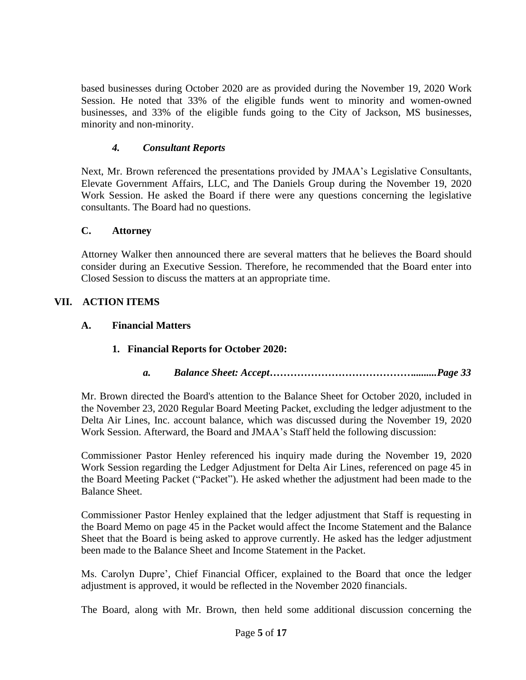based businesses during October 2020 are as provided during the November 19, 2020 Work Session. He noted that 33% of the eligible funds went to minority and women-owned businesses, and 33% of the eligible funds going to the City of Jackson, MS businesses, minority and non-minority.

### *4. Consultant Reports*

Next, Mr. Brown referenced the presentations provided by JMAA's Legislative Consultants, Elevate Government Affairs, LLC, and The Daniels Group during the November 19, 2020 Work Session. He asked the Board if there were any questions concerning the legislative consultants. The Board had no questions.

## **C. Attorney**

Attorney Walker then announced there are several matters that he believes the Board should consider during an Executive Session. Therefore, he recommended that the Board enter into Closed Session to discuss the matters at an appropriate time.

# **VII. ACTION ITEMS**

## **A. Financial Matters**

# **1. Financial Reports for October 2020:**

# *a. Balance Sheet: Accept…………………………………….........Page 33*

Mr. Brown directed the Board's attention to the Balance Sheet for October 2020, included in the November 23, 2020 Regular Board Meeting Packet, excluding the ledger adjustment to the Delta Air Lines, Inc. account balance, which was discussed during the November 19, 2020 Work Session. Afterward, the Board and JMAA's Staff held the following discussion:

Commissioner Pastor Henley referenced his inquiry made during the November 19, 2020 Work Session regarding the Ledger Adjustment for Delta Air Lines, referenced on page 45 in the Board Meeting Packet ("Packet"). He asked whether the adjustment had been made to the Balance Sheet.

Commissioner Pastor Henley explained that the ledger adjustment that Staff is requesting in the Board Memo on page 45 in the Packet would affect the Income Statement and the Balance Sheet that the Board is being asked to approve currently. He asked has the ledger adjustment been made to the Balance Sheet and Income Statement in the Packet.

Ms. Carolyn Dupre', Chief Financial Officer, explained to the Board that once the ledger adjustment is approved, it would be reflected in the November 2020 financials.

The Board, along with Mr. Brown, then held some additional discussion concerning the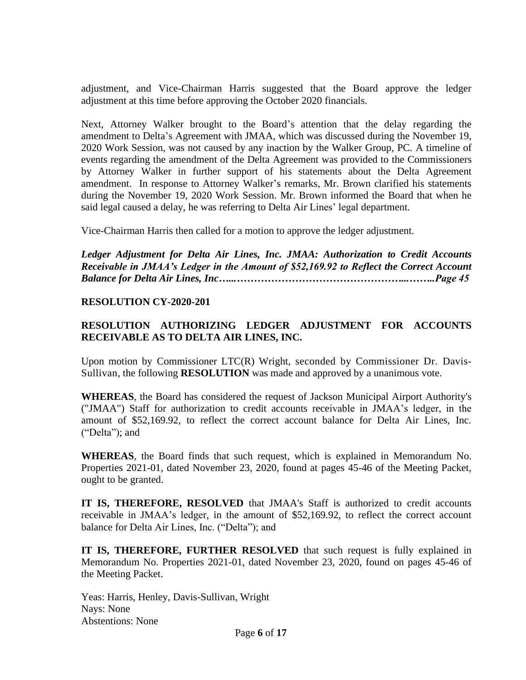adjustment, and Vice-Chairman Harris suggested that the Board approve the ledger adjustment at this time before approving the October 2020 financials.

Next, Attorney Walker brought to the Board's attention that the delay regarding the amendment to Delta's Agreement with JMAA, which was discussed during the November 19, 2020 Work Session, was not caused by any inaction by the Walker Group, PC. A timeline of events regarding the amendment of the Delta Agreement was provided to the Commissioners by Attorney Walker in further support of his statements about the Delta Agreement amendment. In response to Attorney Walker's remarks, Mr. Brown clarified his statements during the November 19, 2020 Work Session. Mr. Brown informed the Board that when he said legal caused a delay, he was referring to Delta Air Lines' legal department.

Vice-Chairman Harris then called for a motion to approve the ledger adjustment.

*Ledger Adjustment for Delta Air Lines, Inc. JMAA: Authorization to Credit Accounts Receivable in JMAA's Ledger in the Amount of \$52,169.92 to Reflect the Correct Account Balance for Delta Air Lines, Inc…...…………………………………………...……..Page 45*

#### **RESOLUTION CY-2020-201**

## **RESOLUTION AUTHORIZING LEDGER ADJUSTMENT FOR ACCOUNTS RECEIVABLE AS TO DELTA AIR LINES, INC.**

Upon motion by Commissioner LTC(R) Wright, seconded by Commissioner Dr. Davis-Sullivan, the following **RESOLUTION** was made and approved by a unanimous vote.

**WHEREAS**, the Board has considered the request of Jackson Municipal Airport Authority's ("JMAA") Staff for authorization to credit accounts receivable in JMAA's ledger, in the amount of \$52,169.92, to reflect the correct account balance for Delta Air Lines, Inc. ("Delta"); and

**WHEREAS**, the Board finds that such request, which is explained in Memorandum No. Properties 2021-01, dated November 23, 2020, found at pages 45-46 of the Meeting Packet, ought to be granted.

**IT IS, THEREFORE, RESOLVED** that JMAA's Staff is authorized to credit accounts receivable in JMAA's ledger, in the amount of \$52,169.92, to reflect the correct account balance for Delta Air Lines, Inc. ("Delta"); and

**IT IS, THEREFORE, FURTHER RESOLVED** that such request is fully explained in Memorandum No. Properties 2021-01, dated November 23, 2020, found on pages 45-46 of the Meeting Packet.

Yeas: Harris, Henley, Davis-Sullivan, Wright Nays: None Abstentions: None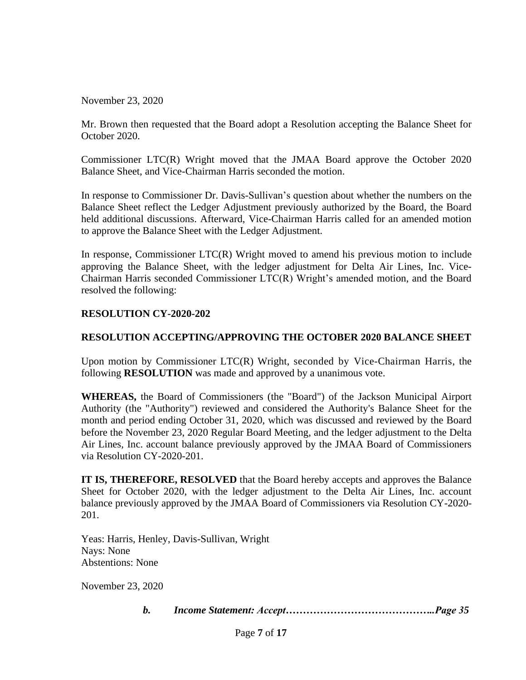November 23, 2020

Mr. Brown then requested that the Board adopt a Resolution accepting the Balance Sheet for October 2020.

Commissioner LTC(R) Wright moved that the JMAA Board approve the October 2020 Balance Sheet, and Vice-Chairman Harris seconded the motion.

In response to Commissioner Dr. Davis-Sullivan's question about whether the numbers on the Balance Sheet reflect the Ledger Adjustment previously authorized by the Board, the Board held additional discussions. Afterward, Vice-Chairman Harris called for an amended motion to approve the Balance Sheet with the Ledger Adjustment.

In response, Commissioner LTC(R) Wright moved to amend his previous motion to include approving the Balance Sheet, with the ledger adjustment for Delta Air Lines, Inc. Vice-Chairman Harris seconded Commissioner LTC(R) Wright's amended motion, and the Board resolved the following:

#### **RESOLUTION CY-2020-202**

### **RESOLUTION ACCEPTING/APPROVING THE OCTOBER 2020 BALANCE SHEET**

Upon motion by Commissioner LTC(R) Wright, seconded by Vice-Chairman Harris, the following **RESOLUTION** was made and approved by a unanimous vote.

**WHEREAS,** the Board of Commissioners (the "Board") of the Jackson Municipal Airport Authority (the "Authority") reviewed and considered the Authority's Balance Sheet for the month and period ending October 31, 2020, which was discussed and reviewed by the Board before the November 23, 2020 Regular Board Meeting, and the ledger adjustment to the Delta Air Lines, Inc. account balance previously approved by the JMAA Board of Commissioners via Resolution CY-2020-201.

**IT IS, THEREFORE, RESOLVED** that the Board hereby accepts and approves the Balance Sheet for October 2020, with the ledger adjustment to the Delta Air Lines, Inc. account balance previously approved by the JMAA Board of Commissioners via Resolution CY-2020- 201.

Yeas: Harris, Henley, Davis-Sullivan, Wright Nays: None Abstentions: None

November 23, 2020

*b. Income Statement: Accept……………………………………..Page 35*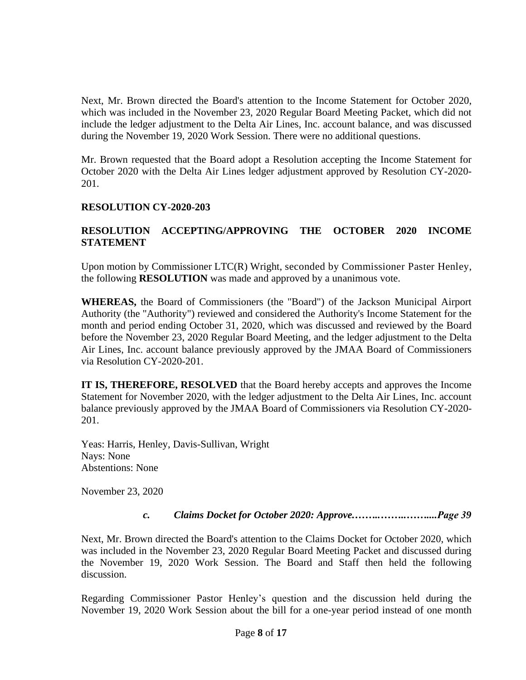Next, Mr. Brown directed the Board's attention to the Income Statement for October 2020, which was included in the November 23, 2020 Regular Board Meeting Packet, which did not include the ledger adjustment to the Delta Air Lines, Inc. account balance, and was discussed during the November 19, 2020 Work Session. There were no additional questions.

Mr. Brown requested that the Board adopt a Resolution accepting the Income Statement for October 2020 with the Delta Air Lines ledger adjustment approved by Resolution CY-2020- 201.

### **RESOLUTION CY-2020-203**

## **RESOLUTION ACCEPTING/APPROVING THE OCTOBER 2020 INCOME STATEMENT**

Upon motion by Commissioner LTC(R) Wright, seconded by Commissioner Paster Henley, the following **RESOLUTION** was made and approved by a unanimous vote.

**WHEREAS,** the Board of Commissioners (the "Board") of the Jackson Municipal Airport Authority (the "Authority") reviewed and considered the Authority's Income Statement for the month and period ending October 31, 2020, which was discussed and reviewed by the Board before the November 23, 2020 Regular Board Meeting, and the ledger adjustment to the Delta Air Lines, Inc. account balance previously approved by the JMAA Board of Commissioners via Resolution CY-2020-201.

**IT IS, THEREFORE, RESOLVED** that the Board hereby accepts and approves the Income Statement for November 2020, with the ledger adjustment to the Delta Air Lines, Inc. account balance previously approved by the JMAA Board of Commissioners via Resolution CY-2020- 201.

Yeas: Harris, Henley, Davis-Sullivan, Wright Nays: None Abstentions: None

November 23, 2020

*c. Claims Docket for October 2020: Approve.……..……..……....Page 39*

Next, Mr. Brown directed the Board's attention to the Claims Docket for October 2020, which was included in the November 23, 2020 Regular Board Meeting Packet and discussed during the November 19, 2020 Work Session. The Board and Staff then held the following discussion.

Regarding Commissioner Pastor Henley's question and the discussion held during the November 19, 2020 Work Session about the bill for a one-year period instead of one month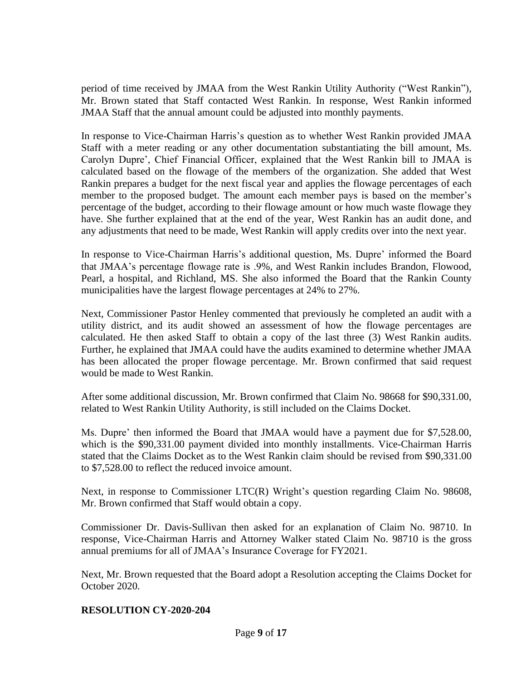period of time received by JMAA from the West Rankin Utility Authority ("West Rankin"), Mr. Brown stated that Staff contacted West Rankin. In response, West Rankin informed JMAA Staff that the annual amount could be adjusted into monthly payments.

In response to Vice-Chairman Harris's question as to whether West Rankin provided JMAA Staff with a meter reading or any other documentation substantiating the bill amount, Ms. Carolyn Dupre', Chief Financial Officer, explained that the West Rankin bill to JMAA is calculated based on the flowage of the members of the organization. She added that West Rankin prepares a budget for the next fiscal year and applies the flowage percentages of each member to the proposed budget. The amount each member pays is based on the member's percentage of the budget, according to their flowage amount or how much waste flowage they have. She further explained that at the end of the year, West Rankin has an audit done, and any adjustments that need to be made, West Rankin will apply credits over into the next year.

In response to Vice-Chairman Harris's additional question, Ms. Dupre' informed the Board that JMAA's percentage flowage rate is .9%, and West Rankin includes Brandon, Flowood, Pearl, a hospital, and Richland, MS. She also informed the Board that the Rankin County municipalities have the largest flowage percentages at 24% to 27%.

Next, Commissioner Pastor Henley commented that previously he completed an audit with a utility district, and its audit showed an assessment of how the flowage percentages are calculated. He then asked Staff to obtain a copy of the last three (3) West Rankin audits. Further, he explained that JMAA could have the audits examined to determine whether JMAA has been allocated the proper flowage percentage. Mr. Brown confirmed that said request would be made to West Rankin.

After some additional discussion, Mr. Brown confirmed that Claim No. 98668 for \$90,331.00, related to West Rankin Utility Authority, is still included on the Claims Docket.

Ms. Dupre' then informed the Board that JMAA would have a payment due for \$7,528.00, which is the \$90,331.00 payment divided into monthly installments. Vice-Chairman Harris stated that the Claims Docket as to the West Rankin claim should be revised from \$90,331.00 to \$7,528.00 to reflect the reduced invoice amount.

Next, in response to Commissioner LTC(R) Wright's question regarding Claim No. 98608, Mr. Brown confirmed that Staff would obtain a copy.

Commissioner Dr. Davis-Sullivan then asked for an explanation of Claim No. 98710. In response, Vice-Chairman Harris and Attorney Walker stated Claim No. 98710 is the gross annual premiums for all of JMAA's Insurance Coverage for FY2021.

Next, Mr. Brown requested that the Board adopt a Resolution accepting the Claims Docket for October 2020.

### **RESOLUTION CY-2020-204**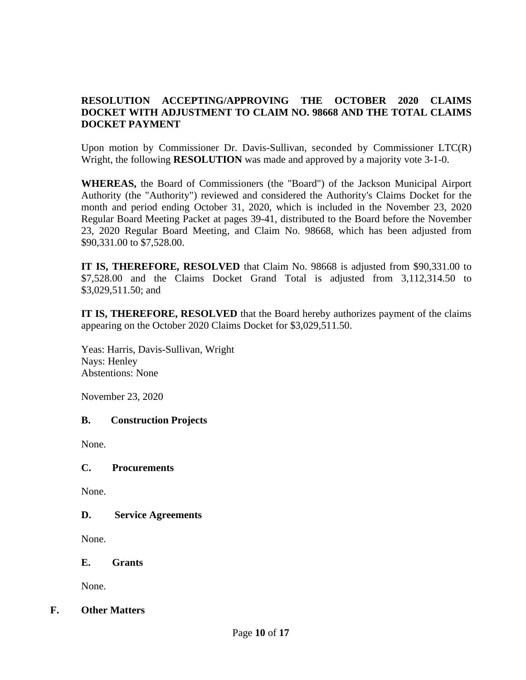## **RESOLUTION ACCEPTING/APPROVING THE OCTOBER 2020 CLAIMS DOCKET WITH ADJUSTMENT TO CLAIM NO. 98668 AND THE TOTAL CLAIMS DOCKET PAYMENT**

Upon motion by Commissioner Dr. Davis-Sullivan, seconded by Commissioner LTC(R) Wright, the following **RESOLUTION** was made and approved by a majority vote 3-1-0.

**WHEREAS,** the Board of Commissioners (the "Board") of the Jackson Municipal Airport Authority (the "Authority") reviewed and considered the Authority's Claims Docket for the month and period ending October 31, 2020, which is included in the November 23, 2020 Regular Board Meeting Packet at pages 39-41, distributed to the Board before the November 23, 2020 Regular Board Meeting, and Claim No. 98668, which has been adjusted from \$90,331.00 to \$7,528.00.

**IT IS, THEREFORE, RESOLVED** that Claim No. 98668 is adjusted from \$90,331.00 to \$7,528.00 and the Claims Docket Grand Total is adjusted from 3,112,314.50 to \$3,029,511.50; and

**IT IS, THEREFORE, RESOLVED** that the Board hereby authorizes payment of the claims appearing on the October 2020 Claims Docket for \$3,029,511.50.

Yeas: Harris, Davis-Sullivan, Wright Nays: Henley Abstentions: None

November 23, 2020

### **B. Construction Projects**

None.

#### **C. Procurements**

None.

### **D. Service Agreements**

None.

**E. Grants**

None.

### **F. Other Matters**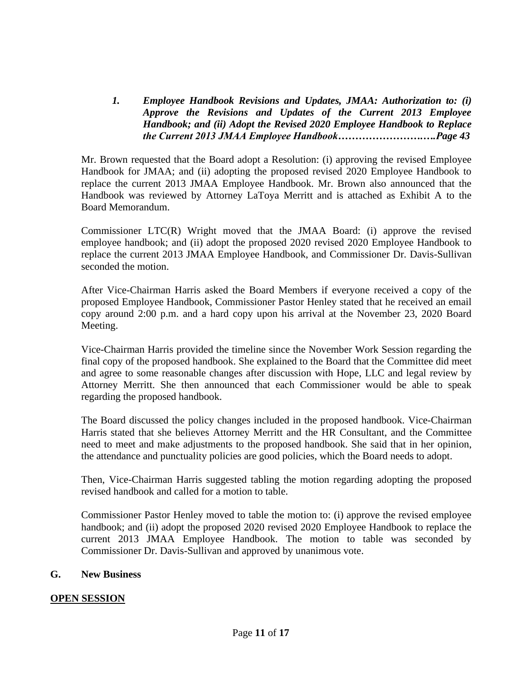*1. Employee Handbook Revisions and Updates, JMAA: Authorization to: (i) Approve the Revisions and Updates of the Current 2013 Employee Handbook; and (ii) Adopt the Revised 2020 Employee Handbook to Replace the Current 2013 JMAA Employee Handbook…………………….….Page 43*

Mr. Brown requested that the Board adopt a Resolution: (i) approving the revised Employee Handbook for JMAA; and (ii) adopting the proposed revised 2020 Employee Handbook to replace the current 2013 JMAA Employee Handbook. Mr. Brown also announced that the Handbook was reviewed by Attorney LaToya Merritt and is attached as Exhibit A to the Board Memorandum.

Commissioner LTC(R) Wright moved that the JMAA Board: (i) approve the revised employee handbook; and (ii) adopt the proposed 2020 revised 2020 Employee Handbook to replace the current 2013 JMAA Employee Handbook, and Commissioner Dr. Davis-Sullivan seconded the motion.

After Vice-Chairman Harris asked the Board Members if everyone received a copy of the proposed Employee Handbook, Commissioner Pastor Henley stated that he received an email copy around 2:00 p.m. and a hard copy upon his arrival at the November 23, 2020 Board Meeting.

Vice-Chairman Harris provided the timeline since the November Work Session regarding the final copy of the proposed handbook. She explained to the Board that the Committee did meet and agree to some reasonable changes after discussion with Hope, LLC and legal review by Attorney Merritt. She then announced that each Commissioner would be able to speak regarding the proposed handbook.

The Board discussed the policy changes included in the proposed handbook. Vice-Chairman Harris stated that she believes Attorney Merritt and the HR Consultant, and the Committee need to meet and make adjustments to the proposed handbook. She said that in her opinion, the attendance and punctuality policies are good policies, which the Board needs to adopt.

Then, Vice-Chairman Harris suggested tabling the motion regarding adopting the proposed revised handbook and called for a motion to table.

Commissioner Pastor Henley moved to table the motion to: (i) approve the revised employee handbook; and (ii) adopt the proposed 2020 revised 2020 Employee Handbook to replace the current 2013 JMAA Employee Handbook. The motion to table was seconded by Commissioner Dr. Davis-Sullivan and approved by unanimous vote.

### **G. New Business**

### **OPEN SESSION**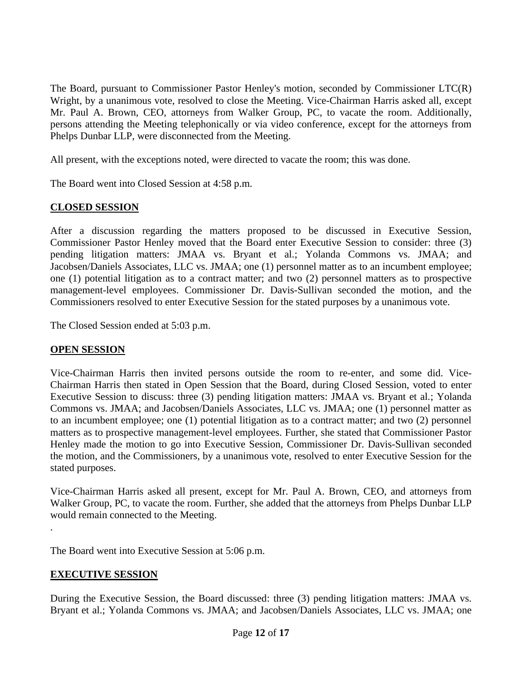The Board, pursuant to Commissioner Pastor Henley's motion, seconded by Commissioner LTC(R) Wright, by a unanimous vote, resolved to close the Meeting. Vice-Chairman Harris asked all, except Mr. Paul A. Brown, CEO, attorneys from Walker Group, PC, to vacate the room. Additionally, persons attending the Meeting telephonically or via video conference, except for the attorneys from Phelps Dunbar LLP, were disconnected from the Meeting.

All present, with the exceptions noted, were directed to vacate the room; this was done.

The Board went into Closed Session at 4:58 p.m.

# **CLOSED SESSION**

After a discussion regarding the matters proposed to be discussed in Executive Session, Commissioner Pastor Henley moved that the Board enter Executive Session to consider: three (3) pending litigation matters: JMAA vs. Bryant et al.; Yolanda Commons vs. JMAA; and Jacobsen/Daniels Associates, LLC vs. JMAA; one (1) personnel matter as to an incumbent employee; one (1) potential litigation as to a contract matter; and two (2) personnel matters as to prospective management-level employees. Commissioner Dr. Davis-Sullivan seconded the motion, and the Commissioners resolved to enter Executive Session for the stated purposes by a unanimous vote.

The Closed Session ended at 5:03 p.m.

# **OPEN SESSION**

Vice-Chairman Harris then invited persons outside the room to re-enter, and some did. Vice-Chairman Harris then stated in Open Session that the Board, during Closed Session, voted to enter Executive Session to discuss: three (3) pending litigation matters: JMAA vs. Bryant et al.; Yolanda Commons vs. JMAA; and Jacobsen/Daniels Associates, LLC vs. JMAA; one (1) personnel matter as to an incumbent employee; one (1) potential litigation as to a contract matter; and two (2) personnel matters as to prospective management-level employees. Further, she stated that Commissioner Pastor Henley made the motion to go into Executive Session, Commissioner Dr. Davis-Sullivan seconded the motion, and the Commissioners, by a unanimous vote, resolved to enter Executive Session for the stated purposes.

Vice-Chairman Harris asked all present, except for Mr. Paul A. Brown, CEO, and attorneys from Walker Group, PC, to vacate the room. Further, she added that the attorneys from Phelps Dunbar LLP would remain connected to the Meeting.

The Board went into Executive Session at 5:06 p.m.

# **EXECUTIVE SESSION**

.

During the Executive Session, the Board discussed: three (3) pending litigation matters: JMAA vs. Bryant et al.; Yolanda Commons vs. JMAA; and Jacobsen/Daniels Associates, LLC vs. JMAA; one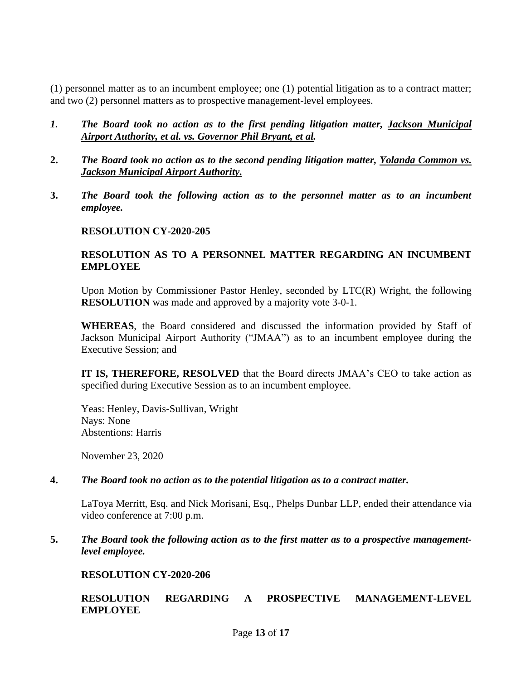(1) personnel matter as to an incumbent employee; one (1) potential litigation as to a contract matter; and two (2) personnel matters as to prospective management-level employees.

- *1. The Board took no action as to the first pending litigation matter, Jackson Municipal Airport Authority, et al. vs. Governor Phil Bryant, et al.*
- **2.** *The Board took no action as to the second pending litigation matter, Yolanda Common vs. Jackson Municipal Airport Authority.*
- **3.** *The Board took the following action as to the personnel matter as to an incumbent employee.*

#### **RESOLUTION CY-2020-205**

### **RESOLUTION AS TO A PERSONNEL MATTER REGARDING AN INCUMBENT EMPLOYEE**

Upon Motion by Commissioner Pastor Henley, seconded by LTC(R) Wright, the following **RESOLUTION** was made and approved by a majority vote 3-0-1.

**WHEREAS**, the Board considered and discussed the information provided by Staff of Jackson Municipal Airport Authority ("JMAA") as to an incumbent employee during the Executive Session; and

**IT IS, THEREFORE, RESOLVED** that the Board directs JMAA's CEO to take action as specified during Executive Session as to an incumbent employee.

Yeas: Henley, Davis-Sullivan, Wright Nays: None Abstentions: Harris

November 23, 2020

#### **4.** *The Board took no action as to the potential litigation as to a contract matter.*

LaToya Merritt, Esq. and Nick Morisani, Esq., Phelps Dunbar LLP, ended their attendance via video conference at 7:00 p.m.

**5.** *The Board took the following action as to the first matter as to a prospective managementlevel employee.*

### **RESOLUTION CY-2020-206**

### **RESOLUTION REGARDING A PROSPECTIVE MANAGEMENT-LEVEL EMPLOYEE**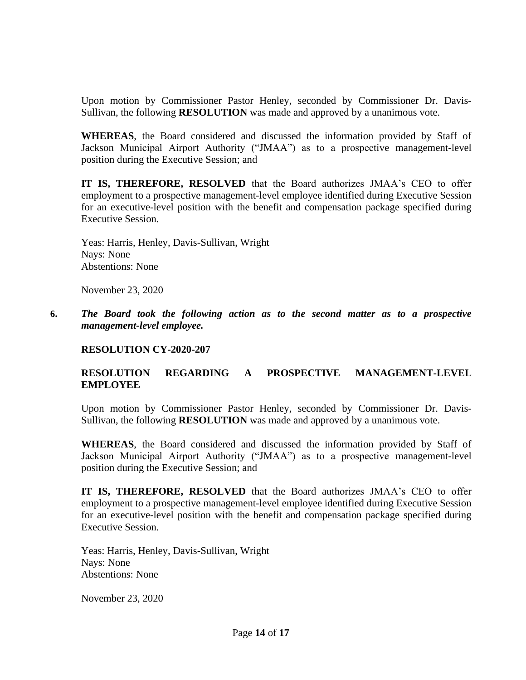Upon motion by Commissioner Pastor Henley, seconded by Commissioner Dr. Davis-Sullivan, the following **RESOLUTION** was made and approved by a unanimous vote.

**WHEREAS**, the Board considered and discussed the information provided by Staff of Jackson Municipal Airport Authority ("JMAA") as to a prospective management-level position during the Executive Session; and

**IT IS, THEREFORE, RESOLVED** that the Board authorizes JMAA's CEO to offer employment to a prospective management-level employee identified during Executive Session for an executive-level position with the benefit and compensation package specified during Executive Session.

Yeas: Harris, Henley, Davis-Sullivan, Wright Nays: None Abstentions: None

November 23, 2020

**6.** *The Board took the following action as to the second matter as to a prospective management-level employee.*

### **RESOLUTION CY-2020-207**

## **RESOLUTION REGARDING A PROSPECTIVE MANAGEMENT-LEVEL EMPLOYEE**

Upon motion by Commissioner Pastor Henley, seconded by Commissioner Dr. Davis-Sullivan, the following **RESOLUTION** was made and approved by a unanimous vote.

**WHEREAS**, the Board considered and discussed the information provided by Staff of Jackson Municipal Airport Authority ("JMAA") as to a prospective management-level position during the Executive Session; and

**IT IS, THEREFORE, RESOLVED** that the Board authorizes JMAA's CEO to offer employment to a prospective management-level employee identified during Executive Session for an executive-level position with the benefit and compensation package specified during Executive Session.

Yeas: Harris, Henley, Davis-Sullivan, Wright Nays: None Abstentions: None

November 23, 2020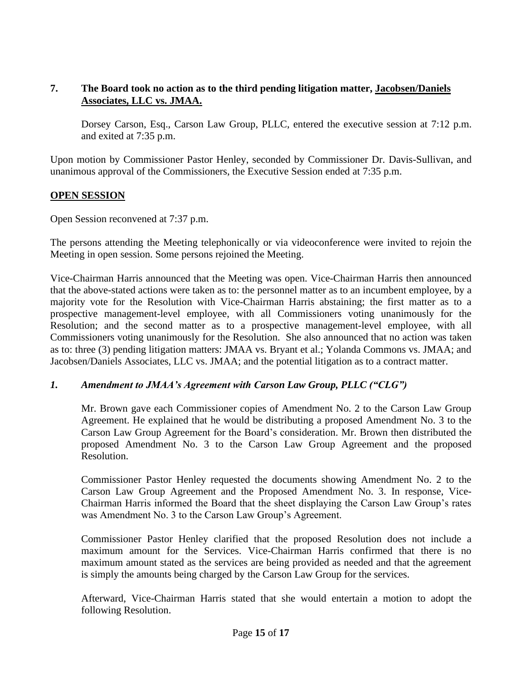## **7. The Board took no action as to the third pending litigation matter, Jacobsen/Daniels Associates, LLC vs. JMAA.**

Dorsey Carson, Esq., Carson Law Group, PLLC, entered the executive session at 7:12 p.m. and exited at 7:35 p.m.

Upon motion by Commissioner Pastor Henley, seconded by Commissioner Dr. Davis-Sullivan, and unanimous approval of the Commissioners, the Executive Session ended at 7:35 p.m.

## **OPEN SESSION**

Open Session reconvened at 7:37 p.m.

The persons attending the Meeting telephonically or via videoconference were invited to rejoin the Meeting in open session. Some persons rejoined the Meeting.

Vice-Chairman Harris announced that the Meeting was open. Vice-Chairman Harris then announced that the above-stated actions were taken as to: the personnel matter as to an incumbent employee, by a majority vote for the Resolution with Vice-Chairman Harris abstaining; the first matter as to a prospective management-level employee, with all Commissioners voting unanimously for the Resolution; and the second matter as to a prospective management-level employee, with all Commissioners voting unanimously for the Resolution. She also announced that no action was taken as to: three (3) pending litigation matters: JMAA vs. Bryant et al.; Yolanda Commons vs. JMAA; and Jacobsen/Daniels Associates, LLC vs. JMAA; and the potential litigation as to a contract matter.

# *1. Amendment to JMAA's Agreement with Carson Law Group, PLLC ("CLG")*

Mr. Brown gave each Commissioner copies of Amendment No. 2 to the Carson Law Group Agreement. He explained that he would be distributing a proposed Amendment No. 3 to the Carson Law Group Agreement for the Board's consideration. Mr. Brown then distributed the proposed Amendment No. 3 to the Carson Law Group Agreement and the proposed Resolution.

Commissioner Pastor Henley requested the documents showing Amendment No. 2 to the Carson Law Group Agreement and the Proposed Amendment No. 3. In response, Vice-Chairman Harris informed the Board that the sheet displaying the Carson Law Group's rates was Amendment No. 3 to the Carson Law Group's Agreement.

Commissioner Pastor Henley clarified that the proposed Resolution does not include a maximum amount for the Services. Vice-Chairman Harris confirmed that there is no maximum amount stated as the services are being provided as needed and that the agreement is simply the amounts being charged by the Carson Law Group for the services.

Afterward, Vice-Chairman Harris stated that she would entertain a motion to adopt the following Resolution.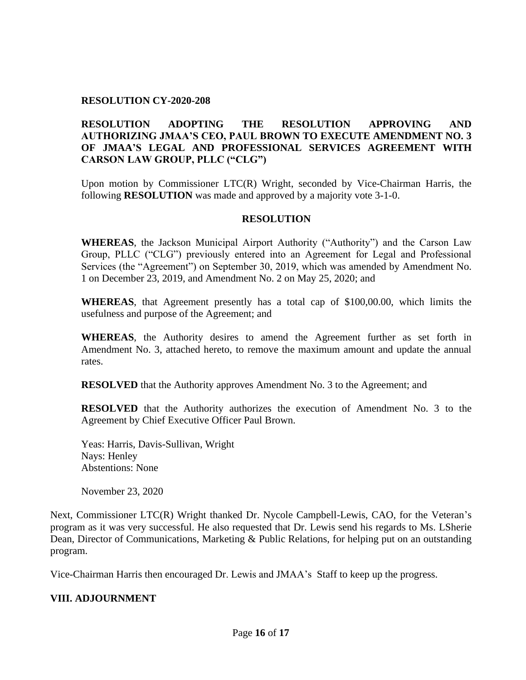#### **RESOLUTION CY-2020-208**

### **RESOLUTION ADOPTING THE RESOLUTION APPROVING AND AUTHORIZING JMAA'S CEO, PAUL BROWN TO EXECUTE AMENDMENT NO. 3 OF JMAA'S LEGAL AND PROFESSIONAL SERVICES AGREEMENT WITH CARSON LAW GROUP, PLLC ("CLG")**

Upon motion by Commissioner LTC(R) Wright, seconded by Vice-Chairman Harris, the following **RESOLUTION** was made and approved by a majority vote 3-1-0.

#### **RESOLUTION**

**WHEREAS**, the Jackson Municipal Airport Authority ("Authority") and the Carson Law Group, PLLC ("CLG") previously entered into an Agreement for Legal and Professional Services (the "Agreement") on September 30, 2019, which was amended by Amendment No. 1 on December 23, 2019, and Amendment No. 2 on May 25, 2020; and

**WHEREAS**, that Agreement presently has a total cap of \$100,00.00, which limits the usefulness and purpose of the Agreement; and

**WHEREAS**, the Authority desires to amend the Agreement further as set forth in Amendment No. 3, attached hereto, to remove the maximum amount and update the annual rates.

**RESOLVED** that the Authority approves Amendment No. 3 to the Agreement; and

**RESOLVED** that the Authority authorizes the execution of Amendment No. 3 to the Agreement by Chief Executive Officer Paul Brown.

Yeas: Harris, Davis-Sullivan, Wright Nays: Henley Abstentions: None

November 23, 2020

Next, Commissioner LTC(R) Wright thanked Dr. Nycole Campbell-Lewis, CAO, for the Veteran's program as it was very successful. He also requested that Dr. Lewis send his regards to Ms. LSherie Dean, Director of Communications, Marketing & Public Relations, for helping put on an outstanding program.

Vice-Chairman Harris then encouraged Dr. Lewis and JMAA's Staff to keep up the progress.

#### **VIII. ADJOURNMENT**